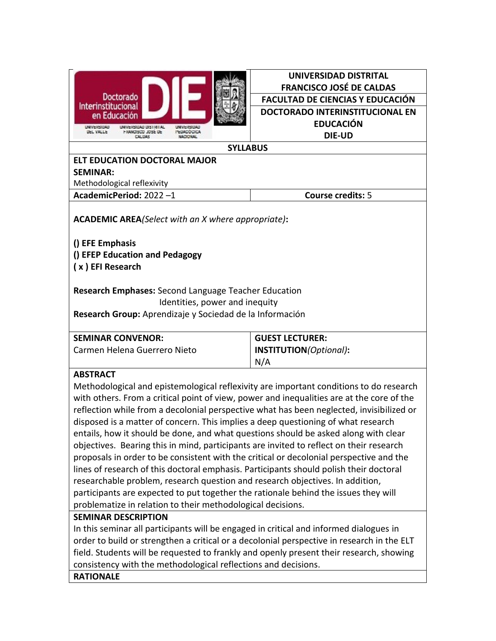|                                                                                                                                                           | UNIVERSIDAD DISTRITAL                                                                     |  |  |
|-----------------------------------------------------------------------------------------------------------------------------------------------------------|-------------------------------------------------------------------------------------------|--|--|
| Doctorado<br>Interinstitucional                                                                                                                           | <b>FRANCISCO JOSÉ DE CALDAS</b>                                                           |  |  |
|                                                                                                                                                           | <b>FACULTAD DE CIENCIAS Y EDUCACIÓN</b>                                                   |  |  |
| en Educación                                                                                                                                              | DOCTORADO INTERINSTITUCIONAL EN                                                           |  |  |
| <b>UNIVERSIDAD</b><br>UNIVERSIDAD DISTM LAL<br>UNIVERSIDAD<br><b>PERMITOGRON</b><br><b>UEL YALLE</b><br><b>FRANCISCO JOSÉ DE</b>                          | <b>EDUCACIÓN</b>                                                                          |  |  |
| MACIFICAL<br><b>SYLLABUS</b>                                                                                                                              | <b>DIE-UD</b>                                                                             |  |  |
| <b>ELT EDUCATION DOCTORAL MAJOR</b>                                                                                                                       |                                                                                           |  |  |
| <b>SEMINAR:</b>                                                                                                                                           |                                                                                           |  |  |
| Methodological reflexivity                                                                                                                                |                                                                                           |  |  |
| AcademicPeriod: 2022-1                                                                                                                                    | <b>Course credits: 5</b>                                                                  |  |  |
|                                                                                                                                                           |                                                                                           |  |  |
| <b>ACADEMIC AREA</b> (Select with an X where appropriate):                                                                                                |                                                                                           |  |  |
|                                                                                                                                                           |                                                                                           |  |  |
| () EFE Emphasis                                                                                                                                           |                                                                                           |  |  |
| () EFEP Education and Pedagogy                                                                                                                            |                                                                                           |  |  |
| (x) EFI Research                                                                                                                                          |                                                                                           |  |  |
|                                                                                                                                                           |                                                                                           |  |  |
| <b>Research Emphases:</b> Second Language Teacher Education                                                                                               |                                                                                           |  |  |
| Identities, power and inequity                                                                                                                            |                                                                                           |  |  |
| Research Group: Aprendizaje y Sociedad de la Información                                                                                                  |                                                                                           |  |  |
|                                                                                                                                                           |                                                                                           |  |  |
| <b>SEMINAR CONVENOR:</b>                                                                                                                                  | <b>GUEST LECTURER:</b>                                                                    |  |  |
| Carmen Helena Guerrero Nieto                                                                                                                              | INSTITUTION(Optional):                                                                    |  |  |
|                                                                                                                                                           | N/A                                                                                       |  |  |
| <b>ABSTRACT</b>                                                                                                                                           |                                                                                           |  |  |
| Methodological and epistemological reflexivity are important conditions to do research                                                                    |                                                                                           |  |  |
|                                                                                                                                                           | with others. From a critical point of view, power and inequalities are at the core of the |  |  |
| reflection while from a decolonial perspective what has been neglected, invisibilized or                                                                  |                                                                                           |  |  |
|                                                                                                                                                           |                                                                                           |  |  |
| disposed is a matter of concern. This implies a deep questioning of what research                                                                         |                                                                                           |  |  |
| entails, how it should be done, and what questions should be asked along with clear                                                                       |                                                                                           |  |  |
| objectives. Bearing this in mind, participants are invited to reflect on their research                                                                   |                                                                                           |  |  |
| proposals in order to be consistent with the critical or decolonial perspective and the                                                                   |                                                                                           |  |  |
| lines of research of this doctoral emphasis. Participants should polish their doctoral                                                                    |                                                                                           |  |  |
| researchable problem, research question and research objectives. In addition,                                                                             |                                                                                           |  |  |
| participants are expected to put together the rationale behind the issues they will                                                                       |                                                                                           |  |  |
| problematize in relation to their methodological decisions.                                                                                               |                                                                                           |  |  |
| <b>SEMINAR DESCRIPTION</b>                                                                                                                                |                                                                                           |  |  |
| In this seminar all participants will be engaged in critical and informed dialogues in                                                                    |                                                                                           |  |  |
| order to build or strengthen a critical or a decolonial perspective in research in the ELT                                                                |                                                                                           |  |  |
| field. Students will be requested to frankly and openly present their research, showing<br>consistency with the methodological reflections and decisions. |                                                                                           |  |  |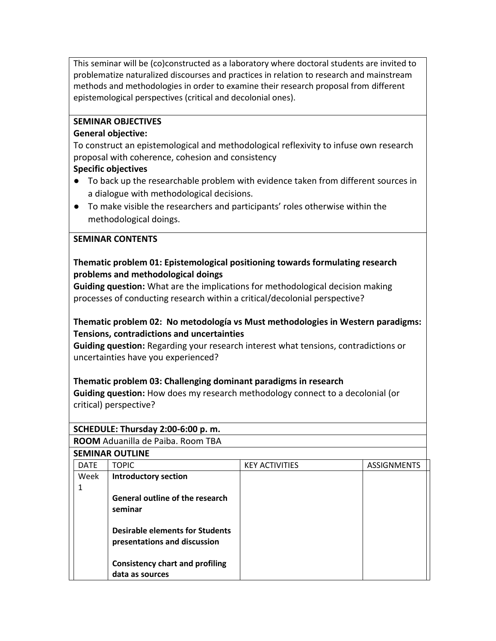This seminar will be (co)constructed as a laboratory where doctoral students are invited to problematize naturalized discourses and practices in relation to research and mainstream methods and methodologies in order to examine their research proposal from different epistemological perspectives (critical and decolonial ones).

## **SEMINAR OBJECTIVES**

### **General objective:**

To construct an epistemological and methodological reflexivity to infuse own research proposal with coherence, cohesion and consistency

## **Specific objectives**

- To back up the researchable problem with evidence taken from different sources in a dialogue with methodological decisions.
- To make visible the researchers and participants' roles otherwise within the methodological doings.

### **SEMINAR CONTENTS**

## **Thematic problem 01: Epistemological positioning towards formulating research problems and methodological doings**

**Guiding question:** What are the implications for methodological decision making processes of conducting research within a critical/decolonial perspective?

## **Thematic problem 02: No metodología vs Must methodologies in Western paradigms: Tensions, contradictions and uncertainties**

**Guiding question:** Regarding your research interest what tensions, contradictions or uncertainties have you experienced?

## **Thematic problem 03: Challenging dominant paradigms in research**

**Guiding question:** How does my research methodology connect to a decolonial (or critical) perspective?

## **SCHEDULE: Thursday 2:00-6:00 p. m.**

**ROOM** Aduanilla de Paiba. Room TBA

### **SEMINAR OUTLINE**

| <b>DATE</b> | <b>TOPIC</b>                           | <b>KEY ACTIVITIES</b> | <b>ASSIGNMENTS</b> |
|-------------|----------------------------------------|-----------------------|--------------------|
| Week        | <b>Introductory section</b>            |                       |                    |
|             |                                        |                       |                    |
|             | <b>General outline of the research</b> |                       |                    |
|             | seminar                                |                       |                    |
|             |                                        |                       |                    |
|             | <b>Desirable elements for Students</b> |                       |                    |
|             | presentations and discussion           |                       |                    |
|             |                                        |                       |                    |
|             | <b>Consistency chart and profiling</b> |                       |                    |
|             | data as sources                        |                       |                    |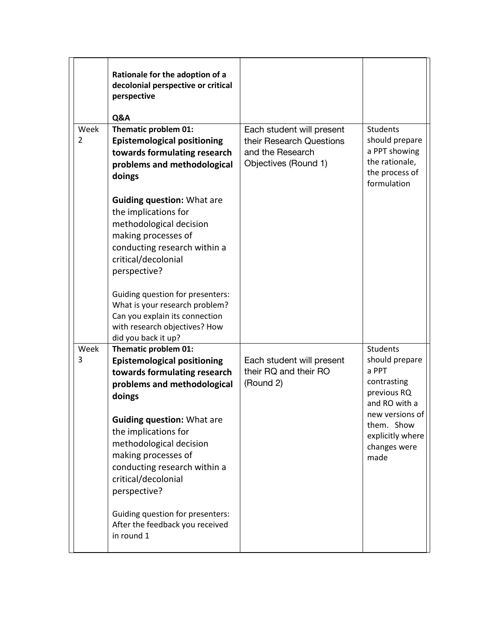|           | Rationale for the adoption of a<br>decolonial perspective or critical<br>perspective<br><b>Q&amp;A</b>                                                                                                                                                                                                                    |                                                                                                   |                                                                                                                                                                        |
|-----------|---------------------------------------------------------------------------------------------------------------------------------------------------------------------------------------------------------------------------------------------------------------------------------------------------------------------------|---------------------------------------------------------------------------------------------------|------------------------------------------------------------------------------------------------------------------------------------------------------------------------|
| Week<br>2 | Thematic problem 01:<br><b>Epistemological positioning</b><br>towards formulating research<br>problems and methodological<br>doings<br><b>Guiding question: What are</b><br>the implications for<br>methodological decision<br>making processes of<br>conducting research within a<br>critical/decolonial<br>perspective? | Each student will present<br>their Research Questions<br>and the Research<br>Objectives (Round 1) | <b>Students</b><br>should prepare<br>a PPT showing<br>the rationale,<br>the process of<br>formulation                                                                  |
|           | Guiding question for presenters:<br>What is your research problem?<br>Can you explain its connection<br>with research objectives? How<br>did you back it up?                                                                                                                                                              |                                                                                                   |                                                                                                                                                                        |
| Week<br>3 | Thematic problem 01:<br><b>Epistemological positioning</b><br>towards formulating research<br>problems and methodological<br>doings<br><b>Guiding question: What are</b><br>the implications for<br>methodological decision<br>making processes of<br>conducting research within a<br>critical/decolonial<br>perspective? | Each student will present<br>their RQ and their RO<br>(Round 2)                                   | <b>Students</b><br>should prepare<br>a PPT<br>contrasting<br>previous RQ<br>and RO with a<br>new versions of<br>them. Show<br>explicitly where<br>changes were<br>made |
|           | Guiding question for presenters:<br>After the feedback you received<br>in round 1                                                                                                                                                                                                                                         |                                                                                                   |                                                                                                                                                                        |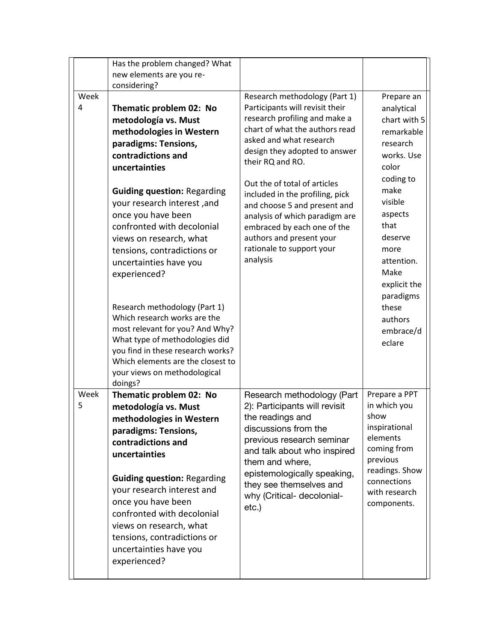|           | Has the problem changed? What<br>new elements are you re-<br>considering?                                                                                                                                                                                                                                                                                                                                                                                                                                                                                                                                                          |                                                                                                                                                                                                                                                                                                                                                                                                                                                              |                                                                                                                                                                                                                                                               |
|-----------|------------------------------------------------------------------------------------------------------------------------------------------------------------------------------------------------------------------------------------------------------------------------------------------------------------------------------------------------------------------------------------------------------------------------------------------------------------------------------------------------------------------------------------------------------------------------------------------------------------------------------------|--------------------------------------------------------------------------------------------------------------------------------------------------------------------------------------------------------------------------------------------------------------------------------------------------------------------------------------------------------------------------------------------------------------------------------------------------------------|---------------------------------------------------------------------------------------------------------------------------------------------------------------------------------------------------------------------------------------------------------------|
| Week<br>4 | Thematic problem 02: No<br>metodología vs. Must<br>methodologies in Western<br>paradigms: Tensions,<br>contradictions and<br>uncertainties<br><b>Guiding question: Regarding</b><br>your research interest, and<br>once you have been<br>confronted with decolonial<br>views on research, what<br>tensions, contradictions or<br>uncertainties have you<br>experienced?<br>Research methodology (Part 1)<br>Which research works are the<br>most relevant for you? And Why?<br>What type of methodologies did<br>you find in these research works?<br>Which elements are the closest to<br>your views on methodological<br>doings? | Research methodology (Part 1)<br>Participants will revisit their<br>research profiling and make a<br>chart of what the authors read<br>asked and what research<br>design they adopted to answer<br>their RQ and RO.<br>Out the of total of articles<br>included in the profiling, pick<br>and choose 5 and present and<br>analysis of which paradigm are<br>embraced by each one of the<br>authors and present your<br>rationale to support your<br>analysis | Prepare an<br>analytical<br>chart with 5<br>remarkable<br>research<br>works. Use<br>color<br>coding to<br>make<br>visible<br>aspects<br>that<br>deserve<br>more<br>attention.<br>Make<br>explicit the<br>paradigms<br>these<br>authors<br>embrace/d<br>eclare |
| Week<br>5 | Thematic problem 02: No<br>metodología vs. Must<br>methodologies in Western<br>paradigms: Tensions,<br>contradictions and<br>uncertainties<br><b>Guiding question: Regarding</b><br>your research interest and<br>once you have been<br>confronted with decolonial<br>views on research, what<br>tensions, contradictions or<br>uncertainties have you<br>experienced?                                                                                                                                                                                                                                                             | Research methodology (Part<br>2): Participants will revisit<br>the readings and<br>discussions from the<br>previous research seminar<br>and talk about who inspired<br>them and where,<br>epistemologically speaking,<br>they see themselves and<br>why (Critical- decolonial-<br>etc.)                                                                                                                                                                      | Prepare a PPT<br>in which you<br>show<br>inspirational<br>elements<br>coming from<br>previous<br>readings. Show<br>connections<br>with research<br>components.                                                                                                |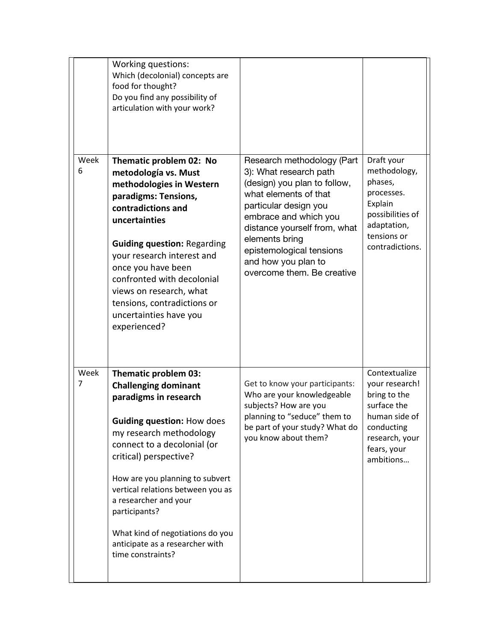|           | Working questions:<br>Which (decolonial) concepts are<br>food for thought?<br>Do you find any possibility of<br>articulation with your work?                                                                                                                                                                                                                                                                        |                                                                                                                                                                                                                                                                                                    |                                                                                                                                             |
|-----------|---------------------------------------------------------------------------------------------------------------------------------------------------------------------------------------------------------------------------------------------------------------------------------------------------------------------------------------------------------------------------------------------------------------------|----------------------------------------------------------------------------------------------------------------------------------------------------------------------------------------------------------------------------------------------------------------------------------------------------|---------------------------------------------------------------------------------------------------------------------------------------------|
| Week<br>6 | Thematic problem 02: No<br>metodología vs. Must<br>methodologies in Western<br>paradigms: Tensions,<br>contradictions and<br>uncertainties<br><b>Guiding question: Regarding</b><br>your research interest and<br>once you have been<br>confronted with decolonial<br>views on research, what<br>tensions, contradictions or<br>uncertainties have you<br>experienced?                                              | Research methodology (Part<br>3): What research path<br>(design) you plan to follow,<br>what elements of that<br>particular design you<br>embrace and which you<br>distance yourself from, what<br>elements bring<br>epistemological tensions<br>and how you plan to<br>overcome them. Be creative | Draft your<br>methodology,<br>phases,<br>processes.<br>Explain<br>possibilities of<br>adaptation,<br>tensions or<br>contradictions.         |
| Week<br>7 | Thematic problem 03:<br><b>Challenging dominant</b><br>paradigms in research<br><b>Guiding question: How does</b><br>my research methodology<br>connect to a decolonial (or<br>critical) perspective?<br>How are you planning to subvert<br>vertical relations between you as<br>a researcher and your<br>participants?<br>What kind of negotiations do you<br>anticipate as a researcher with<br>time constraints? | Get to know your participants:<br>Who are your knowledgeable<br>subjects? How are you<br>planning to "seduce" them to<br>be part of your study? What do<br>you know about them?                                                                                                                    | Contextualize<br>your research!<br>bring to the<br>surface the<br>human side of<br>conducting<br>research, your<br>fears, your<br>ambitions |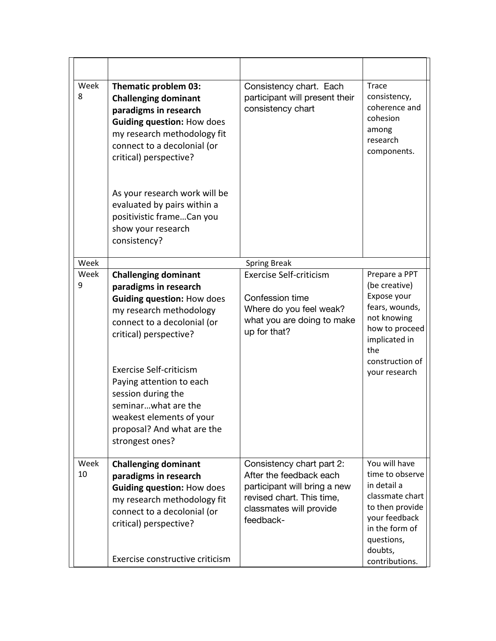| Week<br>8  | <b>Thematic problem 03:</b><br><b>Challenging dominant</b><br>paradigms in research<br><b>Guiding question: How does</b><br>my research methodology fit<br>connect to a decolonial (or<br>critical) perspective?                                                                                                                                                      | Consistency chart. Each<br>participant will present their<br>consistency chart                                                                            | <b>Trace</b><br>consistency,<br>coherence and<br>cohesion<br>among<br>research<br>components.                                                                       |
|------------|-----------------------------------------------------------------------------------------------------------------------------------------------------------------------------------------------------------------------------------------------------------------------------------------------------------------------------------------------------------------------|-----------------------------------------------------------------------------------------------------------------------------------------------------------|---------------------------------------------------------------------------------------------------------------------------------------------------------------------|
|            | As your research work will be<br>evaluated by pairs within a<br>positivistic frameCan you<br>show your research<br>consistency?                                                                                                                                                                                                                                       |                                                                                                                                                           |                                                                                                                                                                     |
| Week       |                                                                                                                                                                                                                                                                                                                                                                       | <b>Spring Break</b>                                                                                                                                       |                                                                                                                                                                     |
| Week<br>9  | <b>Challenging dominant</b><br>paradigms in research<br><b>Guiding question: How does</b><br>my research methodology<br>connect to a decolonial (or<br>critical) perspective?<br><b>Exercise Self-criticism</b><br>Paying attention to each<br>session during the<br>seminarwhat are the<br>weakest elements of your<br>proposal? And what are the<br>strongest ones? | <b>Exercise Self-criticism</b><br>Confession time<br>Where do you feel weak?<br>what you are doing to make<br>up for that?                                | Prepare a PPT<br>(be creative)<br>Expose your<br>fears, wounds,<br>not knowing<br>how to proceed<br>implicated in<br>the<br>construction of<br>your research        |
| Week<br>10 | <b>Challenging dominant</b><br>paradigms in research<br><b>Guiding question: How does</b><br>my research methodology fit<br>connect to a decolonial (or<br>critical) perspective?<br>Exercise constructive criticism                                                                                                                                                  | Consistency chart part 2:<br>After the feedback each<br>participant will bring a new<br>revised chart. This time,<br>classmates will provide<br>feedback- | You will have<br>time to observe<br>in detail a<br>classmate chart<br>to then provide<br>your feedback<br>in the form of<br>questions,<br>doubts,<br>contributions. |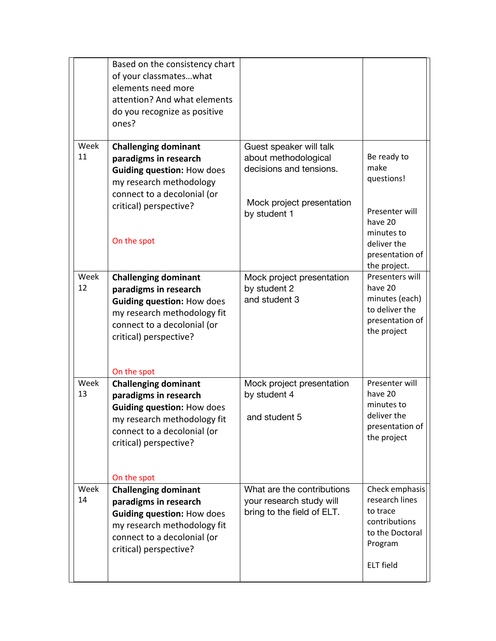|            | Based on the consistency chart<br>of your classmateswhat<br>elements need more<br>attention? And what elements<br>do you recognize as positive<br>ones?                                          |                                                                                                                         |                                                                                                                                |
|------------|--------------------------------------------------------------------------------------------------------------------------------------------------------------------------------------------------|-------------------------------------------------------------------------------------------------------------------------|--------------------------------------------------------------------------------------------------------------------------------|
| Week<br>11 | <b>Challenging dominant</b><br>paradigms in research<br><b>Guiding question: How does</b><br>my research methodology<br>connect to a decolonial (or<br>critical) perspective?<br>On the spot     | Guest speaker will talk<br>about methodological<br>decisions and tensions.<br>Mock project presentation<br>by student 1 | Be ready to<br>make<br>questions!<br>Presenter will<br>have 20<br>minutes to<br>deliver the<br>presentation of<br>the project. |
| Week<br>12 | <b>Challenging dominant</b><br>paradigms in research<br><b>Guiding question: How does</b><br>my research methodology fit<br>connect to a decolonial (or<br>critical) perspective?<br>On the spot | Mock project presentation<br>by student 2<br>and student 3                                                              | Presenters will<br>have 20<br>minutes (each)<br>to deliver the<br>presentation of<br>the project                               |
| Week<br>13 | <b>Challenging dominant</b><br>paradigms in research<br><b>Guiding question: How does</b><br>my research methodology fit<br>connect to a decolonial (or<br>critical) perspective?<br>On the spot | Mock project presentation<br>by student 4<br>and student 5                                                              | Presenter will<br>have 20<br>minutes to<br>deliver the<br>presentation of<br>the project                                       |
| Week<br>14 | <b>Challenging dominant</b><br>paradigms in research<br><b>Guiding question: How does</b><br>my research methodology fit<br>connect to a decolonial (or<br>critical) perspective?                | What are the contributions<br>your research study will<br>bring to the field of ELT.                                    | Check emphasis<br>research lines<br>to trace<br>contributions<br>to the Doctoral<br>Program<br><b>ELT</b> field                |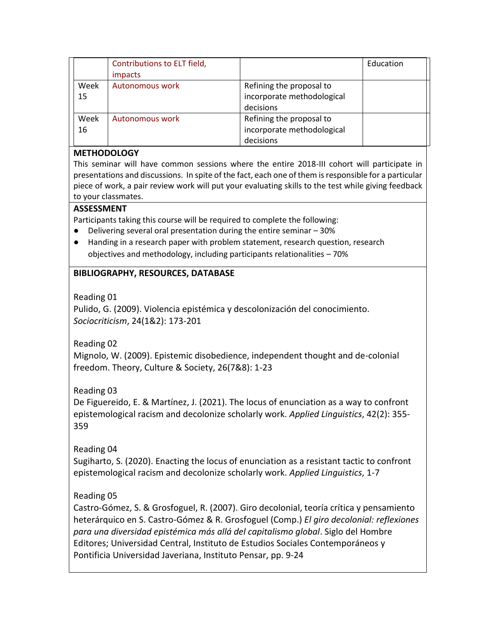|            | Contributions to ELT field,<br>impacts |                                                                     | Education |
|------------|----------------------------------------|---------------------------------------------------------------------|-----------|
| Week<br>15 | Autonomous work                        | Refining the proposal to<br>incorporate methodological<br>decisions |           |
| Week<br>16 | Autonomous work                        | Refining the proposal to<br>incorporate methodological<br>decisions |           |

### **METHODOLOGY**

This seminar will have common sessions where the entire 2018-III cohort will participate in presentations and discussions. In spite of the fact, each one of them is responsible for a particular piece of work, a pair review work will put your evaluating skills to the test while giving feedback to your classmates.

#### **ASSESSMENT**

Participants taking this course will be required to complete the following:

- Delivering several oral presentation during the entire seminar 30%
- Handing in a research paper with problem statement, research question, research objectives and methodology, including participants relationalities – 70%

## **BIBLIOGRAPHY, RESOURCES, DATABASE**

Reading 01

Pulido, G. (2009). Violencia epistémica y descolonización del conocimiento. *Sociocriticism*, 24(1&2): 173-201

Reading 02

Mignolo, W. (2009). Epistemic disobedience, independent thought and de-colonial freedom. Theory, Culture & Society, 26(7&8): 1-23

Reading 03

De Figuereido, E. & Martínez, J. (2021). The locus of enunciation as a way to confront epistemological racism and decolonize scholarly work. *Applied Linguistics*, 42(2): 355- 359

Reading 04

Sugiharto, S. (2020). Enacting the locus of enunciation as a resistant tactic to confront epistemological racism and decolonize scholarly work. *Applied Linguistics*, 1-7

# Reading 05

Castro-Gómez, S. & Grosfoguel, R. (2007). Giro decolonial, teoría crítica y pensamiento heterárquico en S. Castro-Gómez & R. Grosfoguel (Comp.) *El giro decolonial: reflexiones para una diversidad epistémica más allá del capitalismo global*. Siglo del Hombre Editores; Universidad Central, Instituto de Estudios Sociales Contemporáneos y Pontificia Universidad Javeriana, Instituto Pensar, pp. 9-24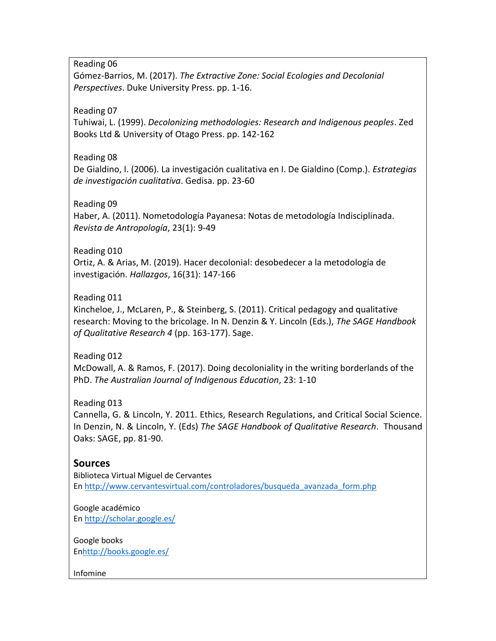Reading 06

Gómez-Barrios, M. (2017). *The Extractive Zone: Social Ecologies and Decolonial Perspectives*. Duke University Press. pp. 1-16.

### Reading 07

Tuhiwai, L. (1999). *Decolonizing methodologies: Research and Indigenous peoples*. Zed Books Ltd & University of Otago Press. pp. 142-162

### Reading 08

De Gialdino, I. (2006). La investigación cualitativa en I. De Gialdino (Comp.). *Estrategias de investigación cualitativa*. Gedisa. pp. 23-60

### Reading 09

Haber, A. (2011). Nometodología Payanesa: Notas de metodología Indisciplinada. *Revista de Antropología*, 23(1): 9-49

## Reading 010

Ortiz, A. & Arias, M. (2019). Hacer decolonial: desobedecer a la metodología de investigación. *Hallazgos*, 16(31): 147-166

### Reading 011

Kincheloe, J., McLaren, P., & Steinberg, S. (2011). Critical pedagogy and qualitative research: Moving to the bricolage. In N. Denzin & Y. Lincoln (Eds.), *The SAGE Handbook of Qualitative Research 4* (pp. 163-177). Sage.

## Reading 012

McDowall, A. & Ramos, F. (2017). Doing decoloniality in the writing borderlands of the PhD. *The Australian Journal of Indigenous Education*, 23: 1-10

#### Reading 013

Cannella, G. & Lincoln, Y. 2011. Ethics, Research Regulations, and Critical Social Science. In Denzin, N. & Lincoln, Y. (Eds) *The SAGE Handbook of Qualitative Research*. Thousand Oaks: SAGE, pp. 81-90.

## **Sources**

Biblioteca Virtual Miguel de Cervantes En [http://www.cervantesvirtual.com/controladores/busqueda\\_avanzada\\_form.php](http://www.cervantesvirtual.com/controladores/busqueda_avanzada_form.php)

Google académico En<http://scholar.google.es/>

Google books E[nhttp://books.google.es/](http://books.google.es/)

Infomine